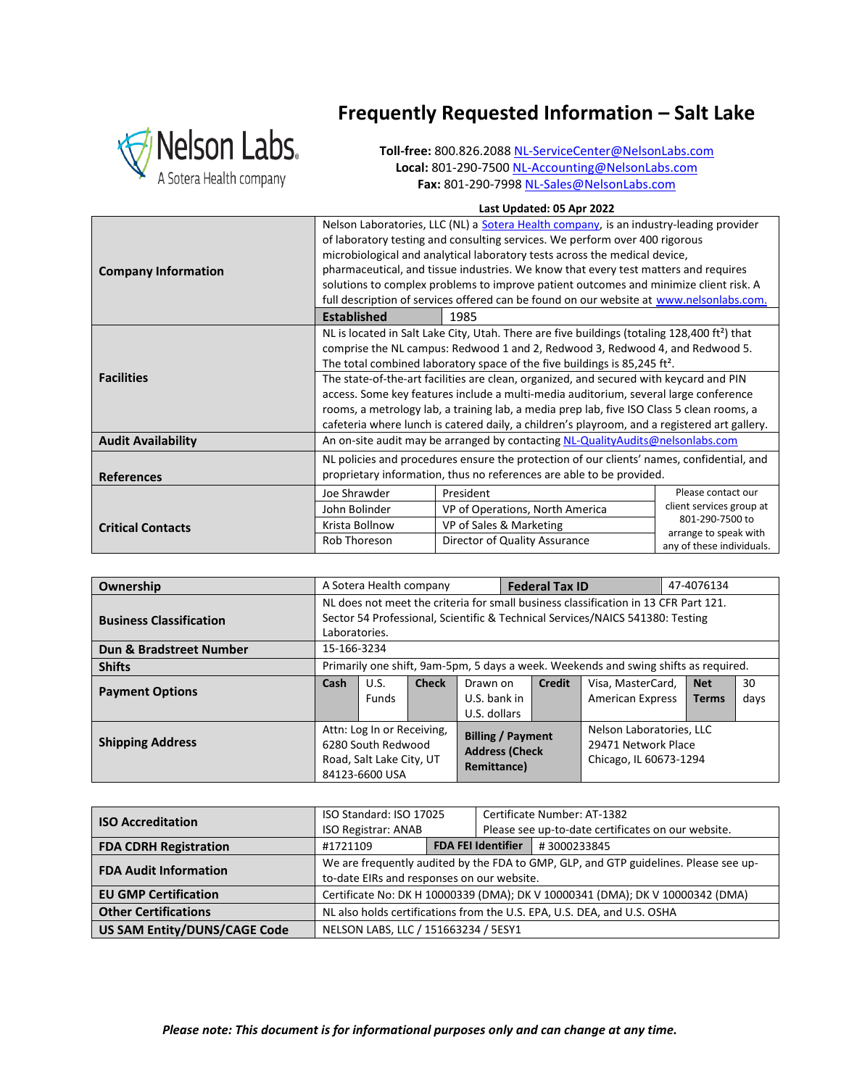

## **Frequently Requested Information – Salt Lake**

**Toll-free:** 800.826.208[8 NL-ServiceCenter@NelsonLabs.com](mailto:NL-ServiceCenter@NelsonLabs.com) **Local:** 801-290-750[0 NL-Accounting@NelsonLabs.com](mailto:NL-Accounting@NelsonLabs.com) **Fax:** 801-290-799[8 NL-Sales@NelsonLabs.com](mailto:NL-Sales@NelsonLabs.com)

## **Last Updated: 05 Apr 2022**

| <b>Company Information</b> | Nelson Laboratories, LLC (NL) a Sotera Health company, is an industry-leading provider<br>of laboratory testing and consulting services. We perform over 400 rigorous<br>microbiological and analytical laboratory tests across the medical device,<br>pharmaceutical, and tissue industries. We know that every test matters and requires<br>solutions to complex problems to improve patient outcomes and minimize client risk. A<br>full description of services offered can be found on our website at www.nelsonlabs.com.<br><b>Established</b><br>1985 |                                                                                           |                                                    |  |  |
|----------------------------|--------------------------------------------------------------------------------------------------------------------------------------------------------------------------------------------------------------------------------------------------------------------------------------------------------------------------------------------------------------------------------------------------------------------------------------------------------------------------------------------------------------------------------------------------------------|-------------------------------------------------------------------------------------------|----------------------------------------------------|--|--|
|                            |                                                                                                                                                                                                                                                                                                                                                                                                                                                                                                                                                              |                                                                                           |                                                    |  |  |
|                            | NL is located in Salt Lake City, Utah. There are five buildings (totaling 128,400 ft <sup>2</sup> ) that<br>comprise the NL campus: Redwood 1 and 2, Redwood 3, Redwood 4, and Redwood 5.                                                                                                                                                                                                                                                                                                                                                                    |                                                                                           |                                                    |  |  |
|                            | The total combined laboratory space of the five buildings is 85,245 ft <sup>2</sup> .                                                                                                                                                                                                                                                                                                                                                                                                                                                                        |                                                                                           |                                                    |  |  |
| <b>Facilities</b>          | The state-of-the-art facilities are clean, organized, and secured with keycard and PIN                                                                                                                                                                                                                                                                                                                                                                                                                                                                       |                                                                                           |                                                    |  |  |
|                            | access. Some key features include a multi-media auditorium, several large conference                                                                                                                                                                                                                                                                                                                                                                                                                                                                         |                                                                                           |                                                    |  |  |
|                            | rooms, a metrology lab, a training lab, a media prep lab, five ISO Class 5 clean rooms, a                                                                                                                                                                                                                                                                                                                                                                                                                                                                    |                                                                                           |                                                    |  |  |
|                            | cafeteria where lunch is catered daily, a children's playroom, and a registered art gallery.                                                                                                                                                                                                                                                                                                                                                                                                                                                                 |                                                                                           |                                                    |  |  |
| <b>Audit Availability</b>  | An on-site audit may be arranged by contacting NL-QualityAudits@nelsonlabs.com                                                                                                                                                                                                                                                                                                                                                                                                                                                                               |                                                                                           |                                                    |  |  |
|                            |                                                                                                                                                                                                                                                                                                                                                                                                                                                                                                                                                              | NL policies and procedures ensure the protection of our clients' names, confidential, and |                                                    |  |  |
| <b>References</b>          | proprietary information, thus no references are able to be provided.                                                                                                                                                                                                                                                                                                                                                                                                                                                                                         |                                                                                           |                                                    |  |  |
|                            | Joe Shrawder                                                                                                                                                                                                                                                                                                                                                                                                                                                                                                                                                 | President                                                                                 | Please contact our                                 |  |  |
|                            | John Bolinder                                                                                                                                                                                                                                                                                                                                                                                                                                                                                                                                                | VP of Operations, North America                                                           | client services group at                           |  |  |
| <b>Critical Contacts</b>   | Krista Bollnow                                                                                                                                                                                                                                                                                                                                                                                                                                                                                                                                               | VP of Sales & Marketing                                                                   | 801-290-7500 to                                    |  |  |
|                            | Rob Thoreson                                                                                                                                                                                                                                                                                                                                                                                                                                                                                                                                                 | Director of Quality Assurance                                                             | arrange to speak with<br>any of these individuals. |  |  |

| Ownership                      |                                                                                     | A Sotera Health company |                                                                  |              | <b>Federal Tax ID</b>    |                         | 47-4076134   |      |
|--------------------------------|-------------------------------------------------------------------------------------|-------------------------|------------------------------------------------------------------|--------------|--------------------------|-------------------------|--------------|------|
|                                | NL does not meet the criteria for small business classification in 13 CFR Part 121. |                         |                                                                  |              |                          |                         |              |      |
| <b>Business Classification</b> | Sector 54 Professional, Scientific & Technical Services/NAICS 541380: Testing       |                         |                                                                  |              |                          |                         |              |      |
|                                | Laboratories.                                                                       |                         |                                                                  |              |                          |                         |              |      |
| Dun & Bradstreet Number        | 15-166-3234                                                                         |                         |                                                                  |              |                          |                         |              |      |
| <b>Shifts</b>                  | Primarily one shift, 9am-5pm, 5 days a week. Weekends and swing shifts as required. |                         |                                                                  |              |                          |                         |              |      |
|                                | Cash                                                                                | U.S.                    | <b>Check</b>                                                     | Drawn on     | <b>Credit</b>            | Visa, MasterCard,       | <b>Net</b>   | 30   |
| <b>Payment Options</b>         |                                                                                     | <b>Funds</b>            |                                                                  | U.S. bank in |                          | <b>American Express</b> | <b>Terms</b> | days |
|                                |                                                                                     |                         |                                                                  | U.S. dollars |                          |                         |              |      |
| <b>Shipping Address</b>        | Attn: Log In or Receiving,                                                          |                         | <b>Billing / Payment</b><br><b>Address (Check</b><br>Remittance) |              | Nelson Laboratories, LLC |                         |              |      |
|                                | 6280 South Redwood                                                                  |                         |                                                                  |              | 29471 Network Place      |                         |              |      |
|                                | Road, Salt Lake City, UT                                                            |                         |                                                                  |              | Chicago, IL 60673-1294   |                         |              |      |
|                                | 84123-6600 USA                                                                      |                         |                                                                  |              |                          |                         |              |      |

| <b>ISO Accreditation</b>            | ISO Standard: ISO 17025<br><b>ISO Registrar: ANAB</b>                                                                              |  | Certificate Number: AT-1382<br>Please see up-to-date certificates on our website. |             |  |
|-------------------------------------|------------------------------------------------------------------------------------------------------------------------------------|--|-----------------------------------------------------------------------------------|-------------|--|
| <b>FDA CDRH Registration</b>        | #1721109                                                                                                                           |  | <b>FDA FEI Identifier</b>                                                         | #3000233845 |  |
| <b>FDA Audit Information</b>        | We are frequently audited by the FDA to GMP, GLP, and GTP guidelines. Please see up-<br>to-date EIRs and responses on our website. |  |                                                                                   |             |  |
| <b>EU GMP Certification</b>         | Certificate No: DK H 10000339 (DMA); DK V 10000341 (DMA); DK V 10000342 (DMA)                                                      |  |                                                                                   |             |  |
| <b>Other Certifications</b>         | NL also holds certifications from the U.S. EPA, U.S. DEA, and U.S. OSHA                                                            |  |                                                                                   |             |  |
| <b>US SAM Entity/DUNS/CAGE Code</b> | NELSON LABS, LLC / 151663234 / 5ESY1                                                                                               |  |                                                                                   |             |  |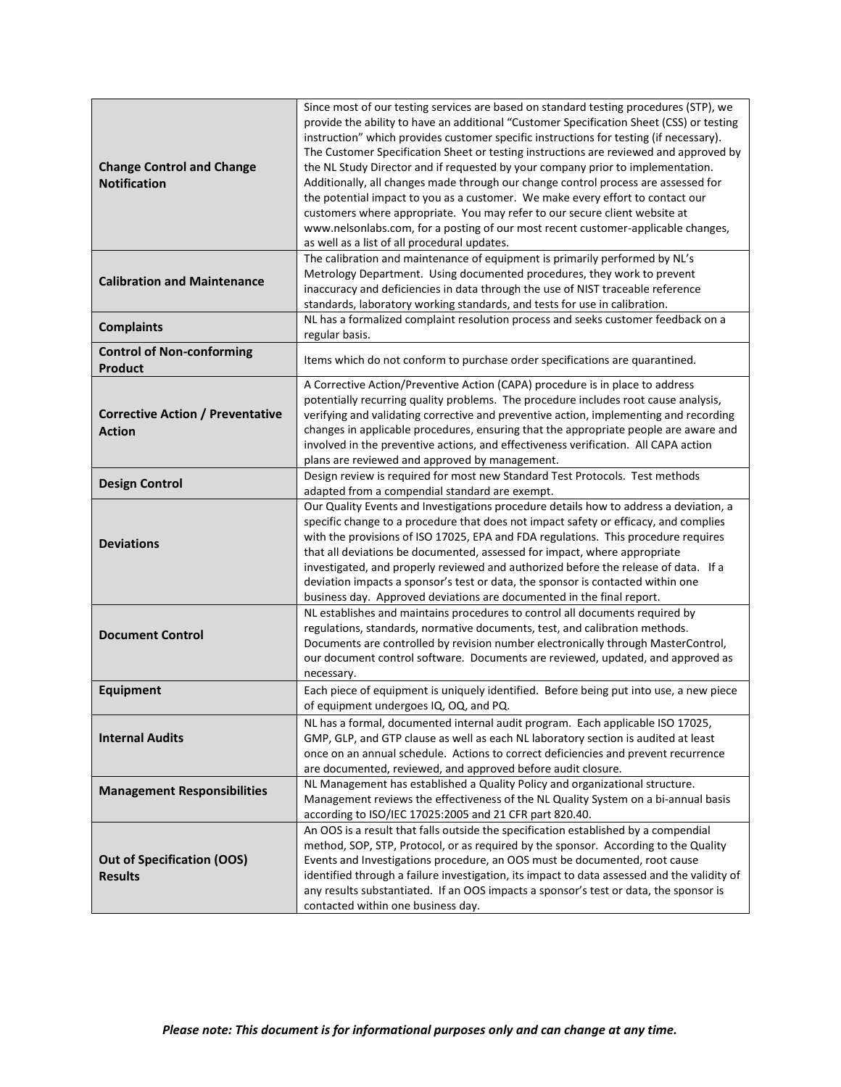| <b>Change Control and Change</b><br><b>Notification</b>  | Since most of our testing services are based on standard testing procedures (STP), we<br>provide the ability to have an additional "Customer Specification Sheet (CSS) or testing<br>instruction" which provides customer specific instructions for testing (if necessary).<br>The Customer Specification Sheet or testing instructions are reviewed and approved by<br>the NL Study Director and if requested by your company prior to implementation.<br>Additionally, all changes made through our change control process are assessed for<br>the potential impact to you as a customer. We make every effort to contact our<br>customers where appropriate. You may refer to our secure client website at<br>www.nelsonlabs.com, for a posting of our most recent customer-applicable changes,<br>as well as a list of all procedural updates. |
|----------------------------------------------------------|----------------------------------------------------------------------------------------------------------------------------------------------------------------------------------------------------------------------------------------------------------------------------------------------------------------------------------------------------------------------------------------------------------------------------------------------------------------------------------------------------------------------------------------------------------------------------------------------------------------------------------------------------------------------------------------------------------------------------------------------------------------------------------------------------------------------------------------------------|
| <b>Calibration and Maintenance</b>                       | The calibration and maintenance of equipment is primarily performed by NL's<br>Metrology Department. Using documented procedures, they work to prevent<br>inaccuracy and deficiencies in data through the use of NIST traceable reference<br>standards, laboratory working standards, and tests for use in calibration.                                                                                                                                                                                                                                                                                                                                                                                                                                                                                                                            |
| <b>Complaints</b>                                        | NL has a formalized complaint resolution process and seeks customer feedback on a<br>regular basis.                                                                                                                                                                                                                                                                                                                                                                                                                                                                                                                                                                                                                                                                                                                                                |
| <b>Control of Non-conforming</b><br><b>Product</b>       | Items which do not conform to purchase order specifications are quarantined.                                                                                                                                                                                                                                                                                                                                                                                                                                                                                                                                                                                                                                                                                                                                                                       |
| <b>Corrective Action / Preventative</b><br><b>Action</b> | A Corrective Action/Preventive Action (CAPA) procedure is in place to address<br>potentially recurring quality problems. The procedure includes root cause analysis,<br>verifying and validating corrective and preventive action, implementing and recording<br>changes in applicable procedures, ensuring that the appropriate people are aware and<br>involved in the preventive actions, and effectiveness verification. All CAPA action<br>plans are reviewed and approved by management.                                                                                                                                                                                                                                                                                                                                                     |
| <b>Design Control</b>                                    | Design review is required for most new Standard Test Protocols. Test methods<br>adapted from a compendial standard are exempt.                                                                                                                                                                                                                                                                                                                                                                                                                                                                                                                                                                                                                                                                                                                     |
| <b>Deviations</b>                                        | Our Quality Events and Investigations procedure details how to address a deviation, a<br>specific change to a procedure that does not impact safety or efficacy, and complies<br>with the provisions of ISO 17025, EPA and FDA regulations. This procedure requires<br>that all deviations be documented, assessed for impact, where appropriate<br>investigated, and properly reviewed and authorized before the release of data. If a<br>deviation impacts a sponsor's test or data, the sponsor is contacted within one<br>business day. Approved deviations are documented in the final report.                                                                                                                                                                                                                                                |
| <b>Document Control</b>                                  | NL establishes and maintains procedures to control all documents required by<br>regulations, standards, normative documents, test, and calibration methods.<br>Documents are controlled by revision number electronically through MasterControl,<br>our document control software. Documents are reviewed, updated, and approved as<br>necessary.                                                                                                                                                                                                                                                                                                                                                                                                                                                                                                  |
| <b>Equipment</b>                                         | Each piece of equipment is uniquely identified. Before being put into use, a new piece<br>of equipment undergoes IQ, OQ, and PQ.                                                                                                                                                                                                                                                                                                                                                                                                                                                                                                                                                                                                                                                                                                                   |
| <b>Internal Audits</b>                                   | NL has a formal, documented internal audit program. Each applicable ISO 17025,<br>GMP, GLP, and GTP clause as well as each NL laboratory section is audited at least<br>once on an annual schedule. Actions to correct deficiencies and prevent recurrence<br>are documented, reviewed, and approved before audit closure.                                                                                                                                                                                                                                                                                                                                                                                                                                                                                                                         |
| <b>Management Responsibilities</b>                       | NL Management has established a Quality Policy and organizational structure.<br>Management reviews the effectiveness of the NL Quality System on a bi-annual basis<br>according to ISO/IEC 17025:2005 and 21 CFR part 820.40.                                                                                                                                                                                                                                                                                                                                                                                                                                                                                                                                                                                                                      |
| <b>Out of Specification (OOS)</b><br><b>Results</b>      | An OOS is a result that falls outside the specification established by a compendial<br>method, SOP, STP, Protocol, or as required by the sponsor. According to the Quality<br>Events and Investigations procedure, an OOS must be documented, root cause<br>identified through a failure investigation, its impact to data assessed and the validity of<br>any results substantiated. If an OOS impacts a sponsor's test or data, the sponsor is<br>contacted within one business day.                                                                                                                                                                                                                                                                                                                                                             |